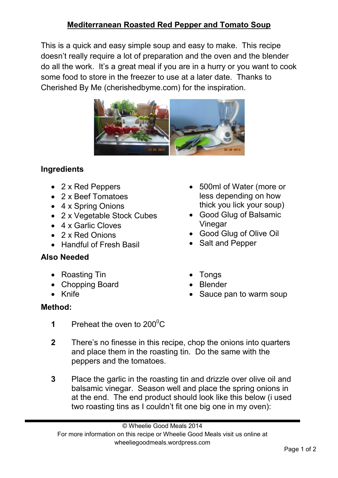## **Mediterranean Roasted Red Pepper and Tomato Soup**

This is a quick and easy simple soup and easy to make. This recipe doesn't really require a lot of preparation and the oven and the blender do all the work. It's a great meal if you are in a hurry or you want to cook some food to store in the freezer to use at a later date. Thanks to Cherished By Me (cherishedbyme.com) for the inspiration.



## **Ingredients**

- 2 x Red Peppers
- 2 x Beef Tomatoes
- 4 x Spring Onions
- 2 x Vegetable Stock Cubes
- 4 x Garlic Cloves
- 2 x Red Onions
- Handful of Fresh Basil

## **Also Needed**

- Roasting Tin
- Chopping Board
- Knife

## **Method:**

- 500ml of Water (more or less depending on how thick you lick your soup)
- Good Glug of Balsamic **Vinegar**
- Good Glug of Olive Oil
- Salt and Pepper
- Tongs
- Blender
- Sauce pan to warm soup
- **1** Preheat the oven to  $200^{\circ}$ C
- **2** There's no finesse in this recipe, chop the onions into quarters and place them in the roasting tin. Do the same with the peppers and the tomatoes.
- **3** Place the garlic in the roasting tin and drizzle over olive oil and balsamic vinegar. Season well and place the spring onions in at the end. The end product should look like this below (i used two roasting tins as I couldn't fit one big one in my oven):